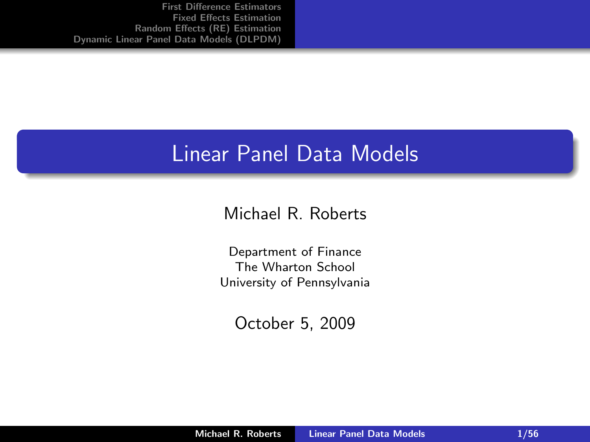#### Linear Panel Data Models

Michael R. Roberts

Department of Finance The Wharton School University of Pennsylvania

<span id="page-0-0"></span>October 5, 2009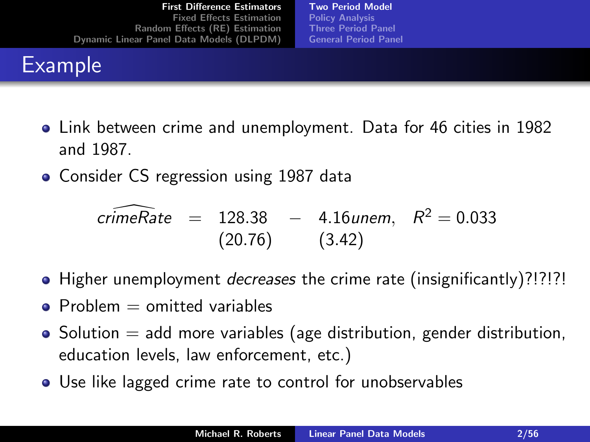## **Example**

<span id="page-1-0"></span>[Two Period Model](#page-1-0) [Policy Analysis](#page-8-0) [Three Period Panel](#page-12-0) [General Period Panel](#page-14-0)

- Link between crime and unemployment. Data for 46 cities in 1982 and 1987.
- Consider CS regression using 1987 data

$$
\widehat{\text{crimeRate}} = 128.38 - 4.16 \text{unem}, \quad R^2 = 0.033
$$
\n
$$
(20.76) \qquad (3.42)
$$

- Higher unemployment *decreases* the crime rate (insignificantly)?!?!?!
- $\bullet$  Problem  $=$  omitted variables
- $\bullet$  Solution  $=$  add more variables (age distribution, gender distribution, education levels, law enforcement, etc.)
- Use like lagged crime rate to control for unobservables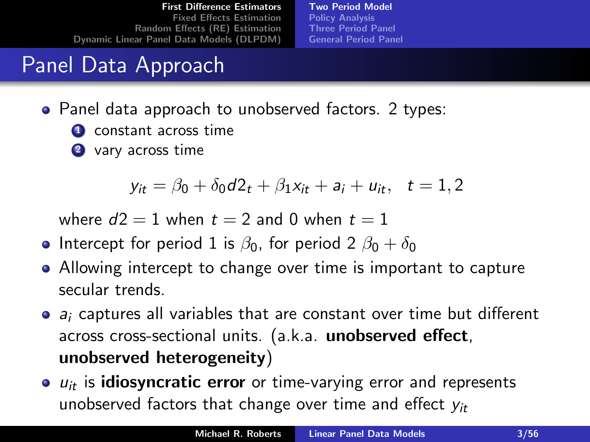[Two Period Model](#page-1-0) [Policy Analysis](#page-8-0) [Three Period Panel](#page-12-0) [General Period Panel](#page-14-0)

## Panel Data Approach

- Panel data approach to unobserved factors. 2 types:
	- **4** constant across time
	- 2 vary across time

$$
y_{it} = \beta_0 + \delta_0 d_2 t + \beta_1 x_{it} + a_i + u_{it}, \quad t = 1, 2
$$

where  $d2 = 1$  when  $t = 2$  and 0 when  $t = 1$ 

- Intercept for period 1 is  $\beta_0$ , for period 2  $\beta_0 + \delta_0$
- Allowing intercept to change over time is important to capture secular trends.
- $\bullet$  a<sub>i</sub> captures all variables that are constant over time but different across cross-sectional units. (a.k.a. unobserved effect, unobserved heterogeneity)
- $\bullet$   $u_{it}$  is **idiosyncratic error** or time-varying error and represents unobserved factors that change over time and effect  $v_{it}$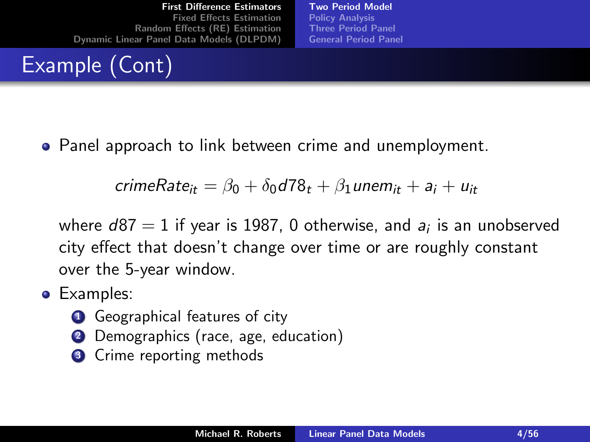# Example (Cont)

Panel approach to link between crime and unemployment.

$$
crimeRate_{it} = \beta_0 + \delta_0 d78_t + \beta_1 unem_{it} + a_i + u_{it}
$$

where  $d87=1$  if year is 1987, 0 otherwise, and  $\emph{a}_{i}$  is an unobserved city effect that doesn't change over time or are roughly constant over the 5-year window.

[Two Period Model](#page-1-0) [Policy Analysis](#page-8-0) [Three Period Panel](#page-12-0) [General Period Panel](#page-14-0)

- **•** Examples:
	- **4** Geographical features of city
	- **2** Demographics (race, age, education)
	- **3** Crime reporting methods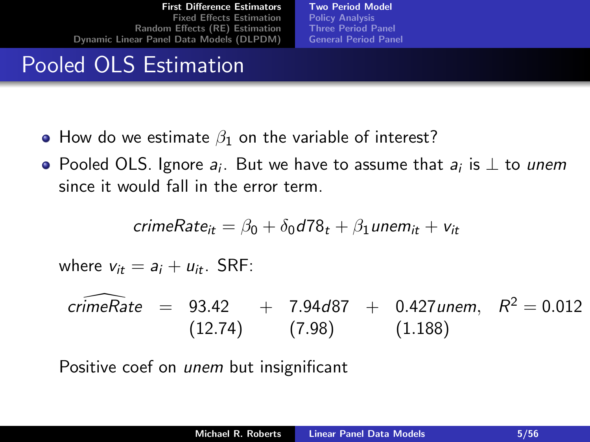[Two Period Model](#page-1-0) [Policy Analysis](#page-8-0) [Three Period Panel](#page-12-0) [General Period Panel](#page-14-0)

#### Pooled OLS Estimation

- How do we estimate  $\beta_1$  on the variable of interest?
- Pooled OLS. Ignore  $a_i$ . But we have to assume that  $a_i$  is  $\perp$  to *unem* since it would fall in the error term.

$$
crimeRate_{it} = \beta_0 + \delta_0 d78_t + \beta_1 unem_{it} + v_{it}
$$

where  $v_{it} = a_i + u_{it}$ . SRF:

$$
\widehat{\text{crimeRate}} = 93.42 + 7.94\text{ d}87 + 0.427 \text{ unem}, R^2 = 0.012
$$
\n
$$
(12.74) \qquad (7.98) \qquad (1.188)
$$

Positive coef on unem but insignificant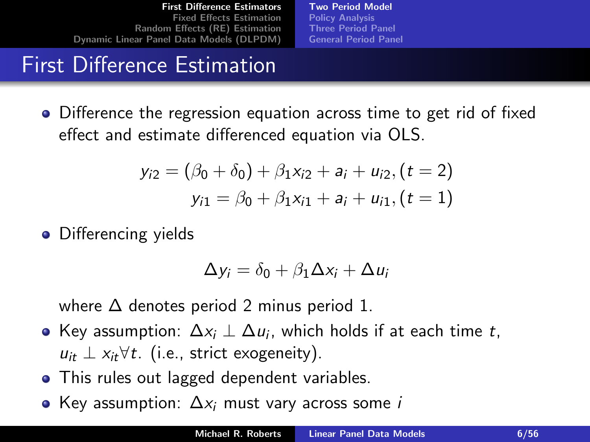[Two Period Model](#page-1-0) [Policy Analysis](#page-8-0) [Three Period Panel](#page-12-0) [General Period Panel](#page-14-0)

## First Difference Estimation

Difference the regression equation across time to get rid of fixed effect and estimate differenced equation via OLS.

$$
y_{i2} = (\beta_0 + \delta_0) + \beta_1 x_{i2} + a_i + u_{i2}, (t = 2)
$$
  

$$
y_{i1} = \beta_0 + \beta_1 x_{i1} + a_i + u_{i1}, (t = 1)
$$

• Differencing yields

$$
\Delta y_i = \delta_0 + \beta_1 \Delta x_i + \Delta u_i
$$

where  $\Delta$  denotes period 2 minus period 1.

- Key assumption:  $\Delta x_i \perp \Delta u_i$ , which holds if at each time  $t$ ,  $u_{it}$  ⊥  $x_{it}$ ∀t. (i.e., strict exogeneity).
- This rules out lagged dependent variables.
- Key assumption:  $\Delta x_i$  must vary across some *i*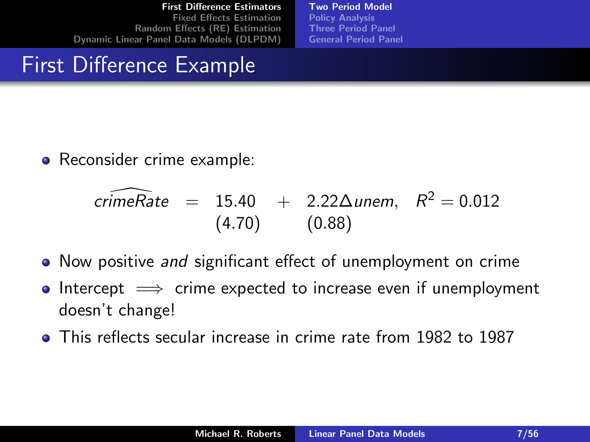[Two Period Model](#page-1-0) [Policy Analysis](#page-8-0) [Three Period Panel](#page-12-0) [General Period Panel](#page-14-0)

## First Difference Example

• Reconsider crime example:

$$
\widehat{\text{crimeRate}} = 15.40 + 2.22 \Delta \text{unem}, \quad R^2 = 0.012
$$
\n
$$
(4.70) \qquad (0.88)
$$

- Now positive and significant effect of unemployment on crime
- Intercept  $\implies$  crime expected to increase even if unemployment  $\bullet$ doesn't change!
- **This reflects secular increase in crime rate from 1982 to 1987**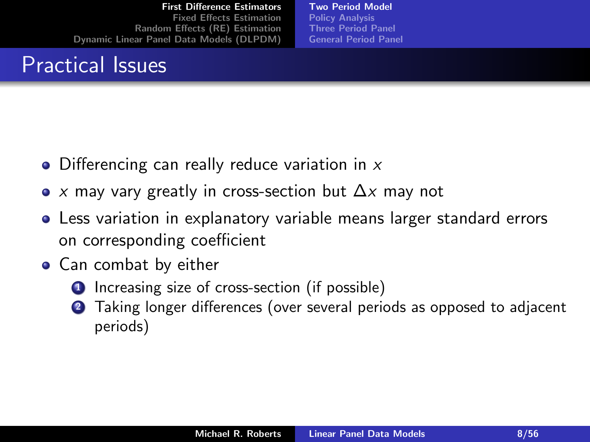#### Practical Issues

[Two Period Model](#page-1-0) [Policy Analysis](#page-8-0) [Three Period Panel](#page-12-0) [General Period Panel](#page-14-0)

- Differencing can really reduce variation in  $x$
- x may vary greatly in cross-section but  $\Delta x$  may not  $\bullet$
- Less variation in explanatory variable means larger standard errors on corresponding coefficient
- Can combat by either
	- **1** Increasing size of cross-section (if possible)
	- 2 Taking longer differences (over several periods as opposed to adjacent periods)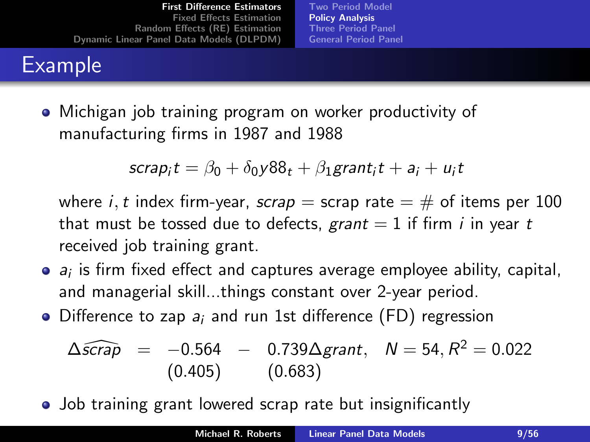## Example

[Two Period Model](#page-1-0) [Policy Analysis](#page-8-0) [Three Period Panel](#page-12-0) [General Period Panel](#page-14-0)

Michigan job training program on worker productivity of manufacturing firms in 1987 and 1988

$$
scrap_it = \beta_0 + \delta_0 y88_t + \beta_1 grant_it + a_i + u_it
$$

where *i*, *t* index firm-year, scrap = scrap rate =  $\#$  of items per 100 that must be tossed due to defects, grant  $= 1$  if firm *i* in year t received job training grant.

- $a_i$  is firm fixed effect and captures average employee ability, capital, and managerial skill...things constant over 2-year period.
- $\bullet$  Difference to zap  $a_i$  and run 1st difference (FD) regression

<span id="page-8-0"></span>
$$
\Delta \widehat{scrap} = -0.564 - 0.739 \Delta grant, \quad N = 54, R^2 = 0.022
$$
\n(0.405) (0.683)

• Job training grant lowered scrap rate but insignificantly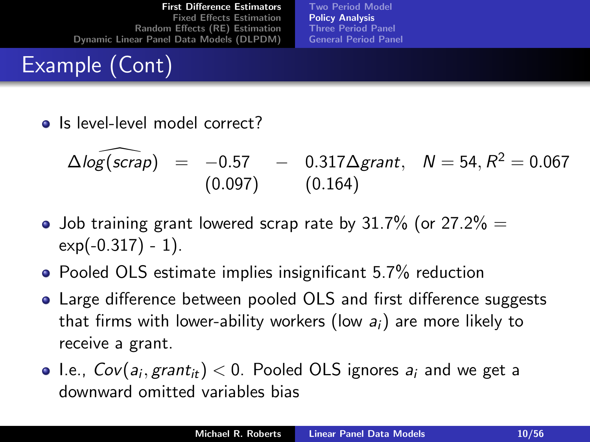# Example (Cont)

[Two Period Model](#page-1-0) [Policy Analysis](#page-8-0) [Three Period Panel](#page-12-0) [General Period Panel](#page-14-0)

• Is level-level model correct?

$$
\Delta \log(\widehat{scrap}) = -0.57 - 0.317 \Delta grant, \quad N = 54, R^2 = 0.067
$$
  
(0.097) (0.164)

- Job training grant lowered scrap rate by 31.7% (or 27.2%  $=$  $exp(-0.317) - 1$ .
- Pooled OLS estimate implies insignificant 5.7% reduction
- Large difference between pooled OLS and first difference suggests that firms with lower-ability workers (low  $a_i$ ) are more likely to receive a grant.
- I.e.,  $Cov(a_i, grant_{it}) < 0$ . Pooled OLS ignores  $a_i$  and we get a downward omitted variables bias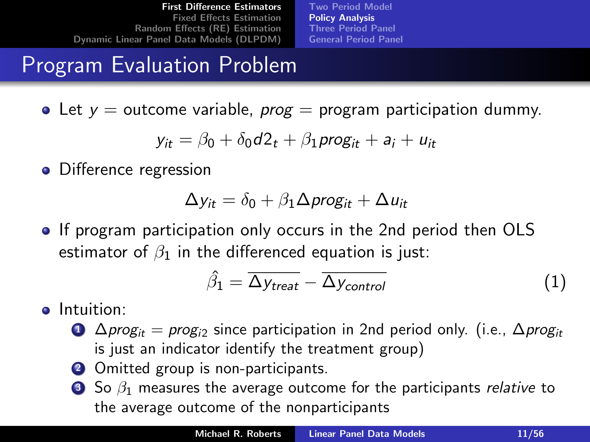[Two Period Model](#page-1-0) [Policy Analysis](#page-8-0) [Three Period Panel](#page-12-0) [General Period Panel](#page-14-0)

#### Program Evaluation Problem

• Let  $y =$  outcome variable, *prog* = program participation dummy.

$$
y_{it} = \beta_0 + \delta_0 d2_t + \beta_1 \text{prog}_{it} + a_i + u_{it}
$$

• Difference regression

$$
\Delta y_{it} = \delta_0 + \beta_1 \Delta \text{prog}_{it} + \Delta u_{it}
$$

**If program participation only occurs in the 2nd period then OLS** estimator of  $\beta_1$  in the differenced equation is just:

<span id="page-10-0"></span>
$$
\hat{\beta}_1 = \overline{\Delta y_{treat}} - \overline{\Delta y_{control}}
$$
 (1)

- **o** Intuition:
	- $\bigcirc$   $\Delta$ *prog<sub>it</sub>* = *prog<sub>i2</sub>* since participation in 2nd period only. (i.e.,  $\Delta$ *prog<sub>it</sub>* is just an indicator identify the treatment group)
	- **2** Omitted group is non-participants.
	- **3** So  $\beta_1$  measures the average outcome for the participants *relative* to the average outcome of the nonparticipants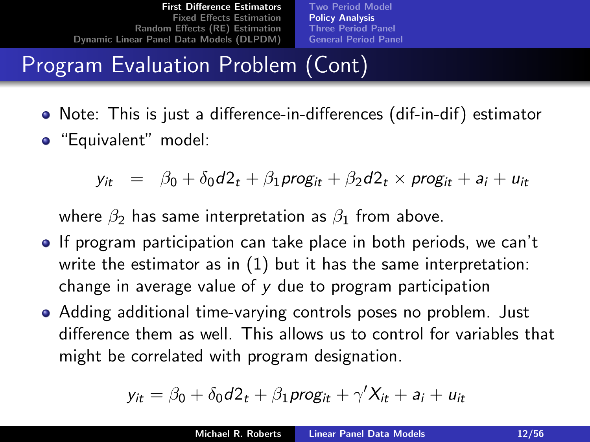[Two Period Model](#page-1-0) [Policy Analysis](#page-8-0) [Three Period Panel](#page-12-0) [General Period Panel](#page-14-0)

# Program Evaluation Problem (Cont)

- Note: This is just a difference-in-differences (dif-in-dif) estimator
- "Equivalent" model:

 $y_{it} = \beta_0 + \delta_0 d_2t + \beta_1 proj_{it} + \beta_2 d_2t \times proj_{it} + a_i + u_{it}$ 

where  $\beta_2$  has same interpretation as  $\beta_1$  from above.

- **If program participation can take place in both periods, we can't** write the estimator as in [\(1\)](#page-10-0) but it has the same interpretation: change in average value of y due to program participation
- Adding additional time-varying controls poses no problem. Just difference them as well. This allows us to control for variables that might be correlated with program designation.

$$
y_{it} = \beta_0 + \delta_0 d2_t + \beta_1 \text{prog}_{it} + \gamma' X_{it} + a_i + u_{it}
$$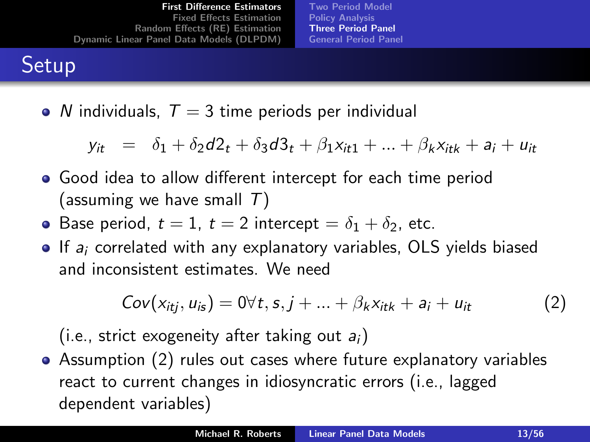<span id="page-12-1"></span>[Two Period Model](#page-1-0) [Policy Analysis](#page-8-0) [Three Period Panel](#page-12-0) [General Period Panel](#page-14-0)

## **Setup**

• N individuals,  $T = 3$  time periods per individual

$$
y_{it} = \delta_1 + \delta_2 d_2 t + \delta_3 d_3 t + \beta_1 x_{it1} + \dots + \beta_k x_{itk} + a_i + u_{it}
$$

- Good idea to allow different intercept for each time period (assuming we have small  $T$ )
- Base period,  $t = 1$ ,  $t = 2$  intercept  $= \delta_1 + \delta_2$ , etc.
- $\bullet$  If  $a_i$  correlated with any explanatory variables, OLS yields biased and inconsistent estimates. We need

<span id="page-12-0"></span>
$$
Cov(x_{itj}, u_{is}) = 0 \forall t, s, j + \dots + \beta_k x_{itk} + a_i + u_{it}
$$
 (2)

(i.e., strict exogeneity after taking out  $a_i$ )

Assumption [\(2\)](#page-12-1) rules out cases where future explanatory variables react to current changes in idiosyncratic errors (i.e., lagged dependent variables)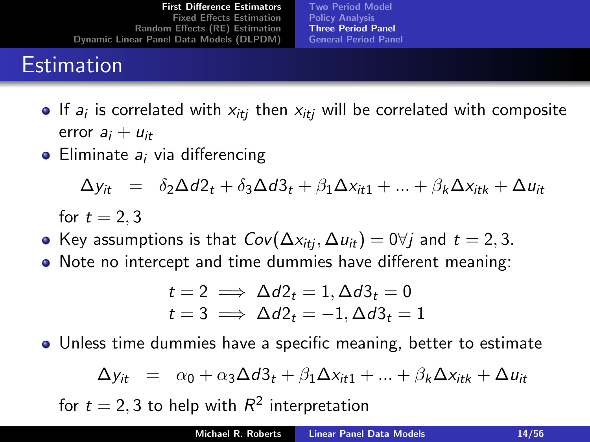## **Estimation**

[Two Period Model](#page-1-0) [Policy Analysis](#page-8-0) [Three Period Panel](#page-12-0) [General Period Panel](#page-14-0)

- If  $a_i$  is correlated with  $x_{itj}$  then  $x_{itj}$  will be correlated with composite error  $a_i + u_{it}$
- $\bullet$  Eliminate  $a_i$  via differencing

$$
\Delta y_{it} = \delta_2 \Delta d2_t + \delta_3 \Delta d3_t + \beta_1 \Delta x_{it1} + \dots + \beta_k \Delta x_{itk} + \Delta u_{it}
$$

for  $t = 2, 3$ 

- Key assumptions is that  $Cov(\Delta x_{iti}, \Delta u_{it}) = 0 \forall i$  and  $t = 2, 3$ .
- Note no intercept and time dummies have different meaning:

$$
t = 2 \implies \Delta d2_t = 1, \Delta d3_t = 0
$$
  

$$
t = 3 \implies \Delta d2_t = -1, \Delta d3_t = 1
$$

Unless time dummies have a specific meaning, better to estimate

$$
\Delta y_{it} = \alpha_0 + \alpha_3 \Delta d3_t + \beta_1 \Delta x_{it1} + \dots + \beta_k \Delta x_{itk} + \Delta u_{it}
$$

for  $t = 2, 3$  to help with  $R^2$  interpretation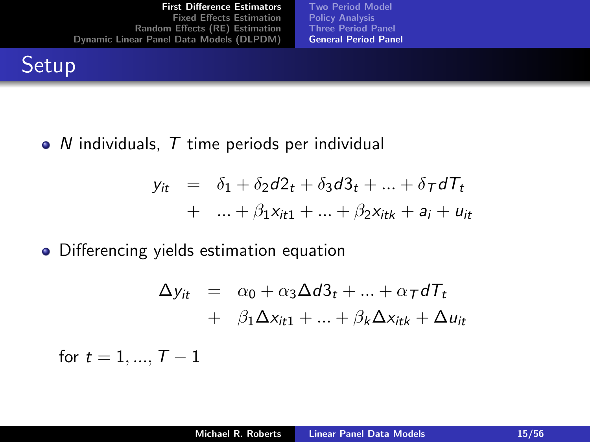**Setup** 

 $\bullet$  N individuals, T time periods per individual

$$
y_{it} = \delta_1 + \delta_2 d2_t + \delta_3 d3_t + \dots + \delta_T dT_t
$$
  
+ ... +  $\beta_1 x_{it1} + \dots + \beta_2 x_{itk} + a_i + u_{it}$ 

[Two Period Model](#page-1-0) [Policy Analysis](#page-8-0) [Three Period Panel](#page-12-0) [General Period Panel](#page-14-0)

• Differencing yields estimation equation

<span id="page-14-0"></span>
$$
\Delta y_{it} = \alpha_0 + \alpha_3 \Delta d3_t + ... + \alpha_T dT_t
$$
  
+  $\beta_1 \Delta x_{it1} + ... + \beta_k \Delta x_{itk} + \Delta u_{it}$ 

for  $t = 1, ..., T - 1$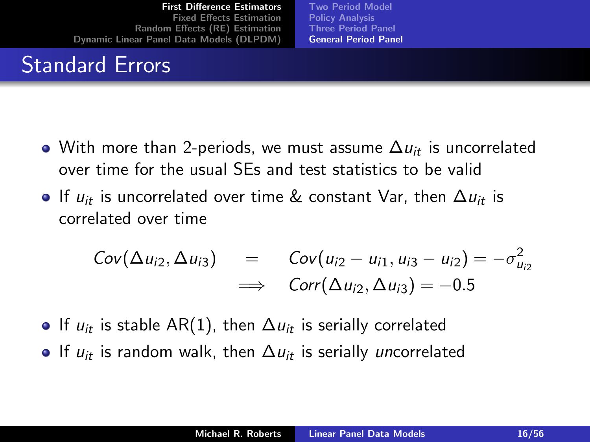## Standard Errors

[Two Period Model](#page-1-0) [Policy Analysis](#page-8-0) [Three Period Panel](#page-12-0) [General Period Panel](#page-14-0)

- $\bullet$  With more than 2-periods, we must assume  $\Delta u_{it}$  is uncorrelated over time for the usual SEs and test statistics to be valid
- If  $u_{it}$  is uncorrelated over time & constant Var, then  $\Delta u_{it}$  is correlated over time

$$
Cov(\Delta u_{i2}, \Delta u_{i3}) = Cov(u_{i2} - u_{i1}, u_{i3} - u_{i2}) = -\sigma_{u_{i2}}^2
$$
  

$$
\implies Corr(\Delta u_{i2}, \Delta u_{i3}) = -0.5
$$

- $\bullet$  If  $u_{it}$  is stable AR(1), then  $\Delta u_{it}$  is serially correlated
- If  $u_{it}$  is random walk, then  $\Delta u_{it}$  is serially uncorrelated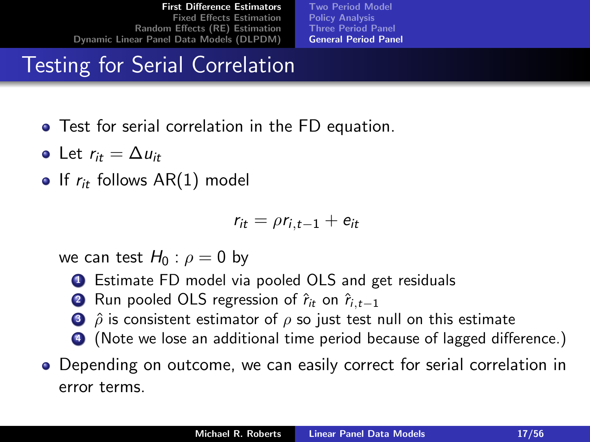[Two Period Model](#page-1-0) [Policy Analysis](#page-8-0) [Three Period Panel](#page-12-0) [General Period Panel](#page-14-0)

## Testing for Serial Correlation

- Test for serial correlation in the FD equation.
- Let  $r_{it} = \Delta u_{it}$
- If  $r_{it}$  follows AR(1) model

$$
r_{it} = \rho r_{i,t-1} + e_{it}
$$

we can test  $H_0$  :  $\rho = 0$  by

- **1** Estimate FD model via pooled OLS and get residuals
- 2 Run pooled OLS regression of  $\hat{r}_{it}$  on  $\hat{r}_{i,t-1}$
- $\hat{3}$   $\hat{\rho}$  is consistent estimator of  $\rho$  so just test null on this estimate
- <sup>4</sup> (Note we lose an additional time period because of lagged difference.)
- Depending on outcome, we can easily correct for serial correlation in error terms.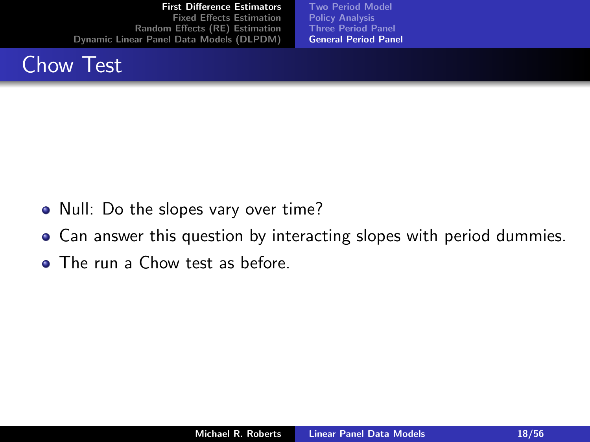

[Two Period Model](#page-1-0) [Policy Analysis](#page-8-0) [Three Period Panel](#page-12-0) [General Period Panel](#page-14-0)

- Null: Do the slopes vary over time?
- Can answer this question by interacting slopes with period dummies.
- **The run a Chow test as before.**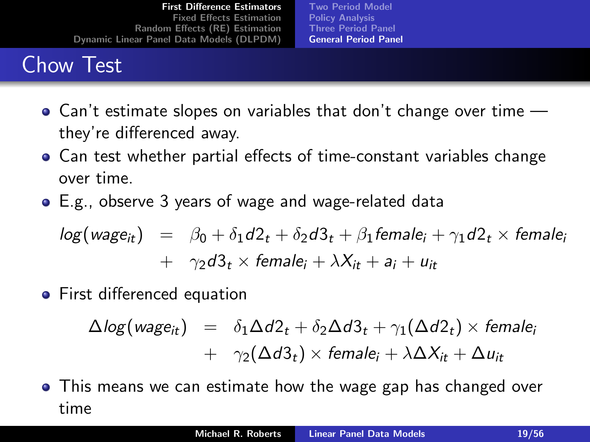## Chow Test

[Two Period Model](#page-1-0) [Policy Analysis](#page-8-0) [Three Period Panel](#page-12-0) [General Period Panel](#page-14-0)

- Can't estimate slopes on variables that don't change over time they're differenced away.
- Can test whether partial effects of time-constant variables change over time.
- E.g., observe 3 years of wage and wage-related data

$$
log(wage_{it}) = \beta_0 + \delta_1 d2_t + \delta_2 d3_t + \beta_1 female_i + \gamma_1 d2_t \times female_i
$$
  
+ 
$$
\gamma_2 d3_t \times female_i + \lambda X_{it} + a_i + u_{it}
$$

**•** First differenced equation

$$
\Delta log(wage_{it}) = \delta_1 \Delta d2_t + \delta_2 \Delta d3_t + \gamma_1 (\Delta d2_t) \times female_i
$$
  
+ 
$$
\gamma_2 (\Delta d3_t) \times female_i + \lambda \Delta X_{it} + \Delta u_{it}
$$

This means we can estimate how the wage gap has changed over time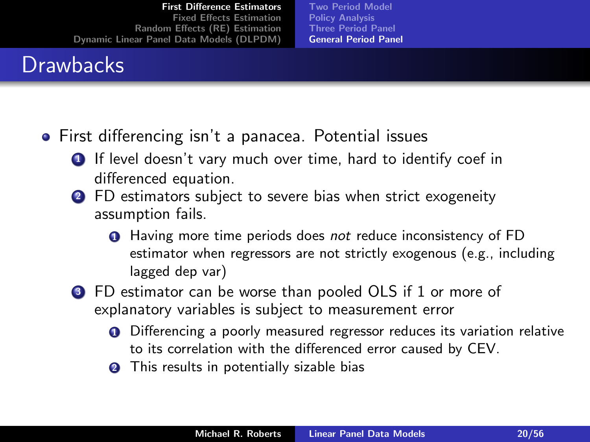## **Drawbacks**

[Two Period Model](#page-1-0) [Policy Analysis](#page-8-0) [Three Period Panel](#page-12-0) [General Period Panel](#page-14-0)

- First differencing isn't a panacea. Potential issues
	- **1** If level doesn't vary much over time, hard to identify coef in differenced equation.
	- **2** FD estimators subject to severe bias when strict exogeneity assumption fails.
		- **1** Having more time periods does not reduce inconsistency of FD estimator when regressors are not strictly exogenous (e.g., including lagged dep var)
	- <sup>3</sup> FD estimator can be worse than pooled OLS if 1 or more of explanatory variables is subject to measurement error
		- **O** Differencing a poorly measured regressor reduces its variation relative to its correlation with the differenced error caused by CEV.
		- **2** This results in potentially sizable bias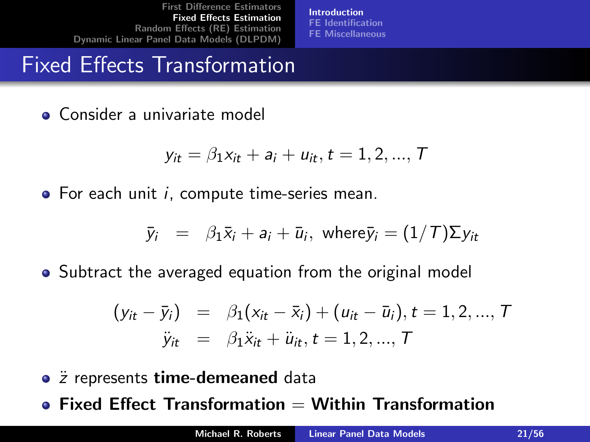[Introduction](#page-20-0) [FE Identification](#page-23-0) [FE Miscellaneous](#page-25-0)

## Fixed Effects Transformation

Consider a univariate model

$$
y_{it} = \beta_1 x_{it} + a_i + u_{it}, t = 1, 2, ..., T
$$

 $\bullet$  For each unit *i*, compute time-series mean.

$$
\bar{y}_i = \beta_1 \bar{x}_i + a_i + \bar{u}_i
$$
, where  $\bar{y}_i = (1/T) \Sigma y_{it}$ 

• Subtract the averaged equation from the original model

<span id="page-20-0"></span>
$$
(y_{it} - \bar{y}_i)
$$
 =  $\beta_1(x_{it} - \bar{x}_i) + (u_{it} - \bar{u}_i), t = 1, 2, ..., T$   
 $\ddot{y}_{it}$  =  $\beta_1 \ddot{x}_{it} + \ddot{u}_{it}, t = 1, 2, ..., T$ 

• *z* represents time-demeaned data

 $\bullet$  Fixed Effect Transformation  $=$  Within Transformation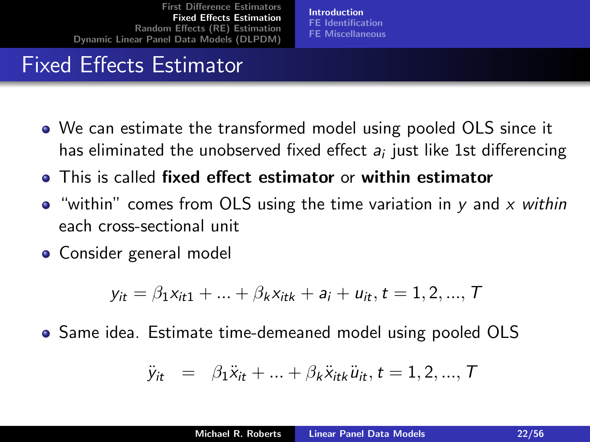[Introduction](#page-20-0) [FE Identification](#page-23-0) [FE Miscellaneous](#page-25-0)

## Fixed Effects Estimator

- We can estimate the transformed model using pooled OLS since it has eliminated the unobserved fixed effect  $\boldsymbol{a}_i$  just like 1st differencing
- This is called fixed effect estimator or within estimator
- $\bullet$  "within" comes from OLS using the time variation in y and x within each cross-sectional unit
- Consider general model

$$
y_{it} = \beta_1 x_{it1} + \ldots + \beta_k x_{itk} + a_i + u_{it}, t = 1, 2, ..., T
$$

Same idea. Estimate time-demeaned model using pooled OLS

$$
\ddot{y}_{it} = \beta_1 \ddot{x}_{it} + ... + \beta_k \ddot{x}_{itk} \ddot{u}_{it}, t = 1, 2, ..., T
$$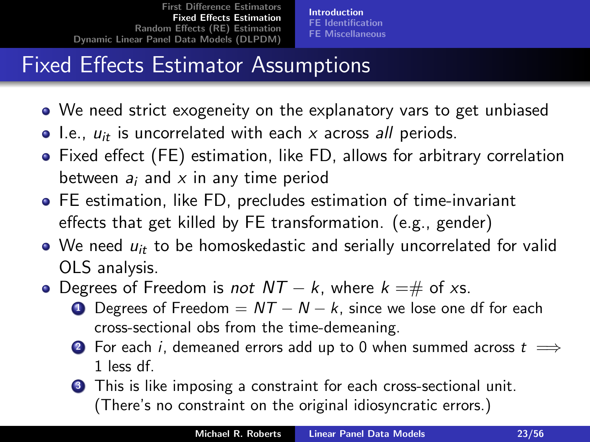[Introduction](#page-20-0) [FE Identification](#page-23-0) [FE Miscellaneous](#page-25-0)

# Fixed Effects Estimator Assumptions

- We need strict exogeneity on the explanatory vars to get unbiased
- $\bullet$  I.e.,  $u_{it}$  is uncorrelated with each x across all periods.
- Fixed effect (FE) estimation, like FD, allows for arbitrary correlation between  $a_i$  and x in any time period
- FE estimation, like FD, precludes estimation of time-invariant effects that get killed by FE transformation. (e.g., gender)
- $\bullet$  We need  $u_{it}$  to be homoskedastic and serially uncorrelated for valid OLS analysis.
- Degrees of Freedom is *not*  $NT k$ , where  $k = \#$  of xs.
	- **1** Degrees of Freedom =  $NT N k$ , since we lose one df for each cross-sectional obs from the time-demeaning.
	- **2** For each *i*, demeaned errors add up to 0 when summed across  $t$   $\implies$ 1 less df.
	- **3** This is like imposing a constraint for each cross-sectional unit. (There's no constraint on the original idiosyncratic errors.)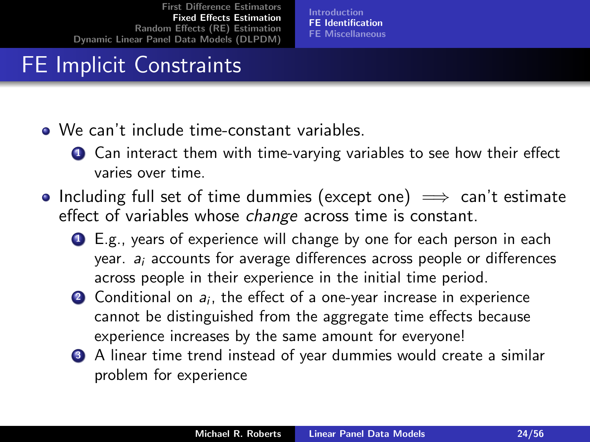<span id="page-23-0"></span>[Introduction](#page-20-0) [FE Identification](#page-23-0) [FE Miscellaneous](#page-25-0)

## FE Implicit Constraints

- We can't include time-constant variables.
	- **1** Can interact them with time-varying variables to see how their effect varies over time.
- Including full set of time dummies (except one)  $\implies$  can't estimate effect of variables whose *change* across time is constant.
	- <sup>1</sup> E.g., years of experience will change by one for each person in each year.  $a_i$  accounts for average differences across people or differences across people in their experience in the initial time period.
	- $\bullet$  Conditional on  $a_i$ , the effect of a one-year increase in experience cannot be distinguished from the aggregate time effects because experience increases by the same amount for everyone!
	- **3** A linear time trend instead of year dummies would create a similar problem for experience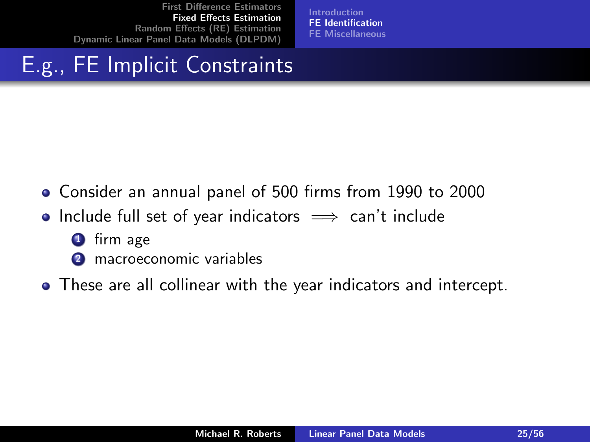[Introduction](#page-20-0) [FE Identification](#page-23-0) [FE Miscellaneous](#page-25-0)

## E.g., FE Implicit Constraints

- Consider an annual panel of 500 firms from 1990 to 2000
- Include full set of year indicators  $\implies$  can't include
	- **1** firm age
	- **2** macroeconomic variables
- These are all collinear with the year indicators and intercept.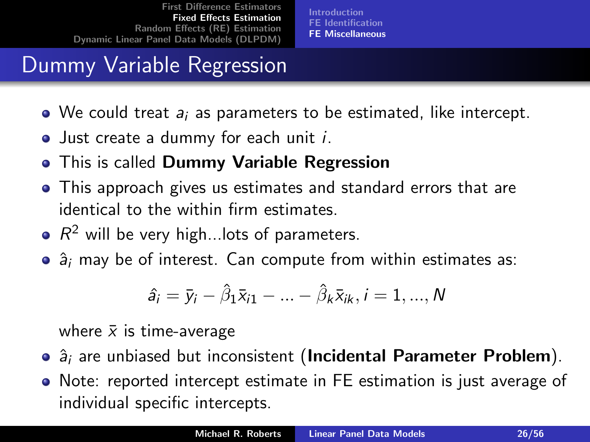[Introduction](#page-20-0) [FE Identification](#page-23-0) [FE Miscellaneous](#page-25-0)

## Dummy Variable Regression

- $\bullet$  We could treat  $a_i$  as parameters to be estimated, like intercept.
- Just create a dummy for each unit *i*.
- This is called Dummy Variable Regression  $\bullet$
- This approach gives us estimates and standard errors that are identical to the within firm estimates.
- $R^2$  will be very high...lots of parameters.
- $\bullet$   $\hat{a}_i$  may be of interest. Can compute from within estimates as:

<span id="page-25-0"></span>
$$
\hat{a}_i = \bar{y}_i - \hat{\beta}_1 \bar{x}_{i1} - \ldots - \hat{\beta}_k \bar{x}_{ik}, i = 1, \ldots, N
$$

where  $\bar{x}$  is time-average

- $\bullet$   $\hat{a}_i$  are unbiased but inconsistent (Incidental Parameter Problem).
- Note: reported intercept estimate in FE estimation is just average of individual specific intercepts.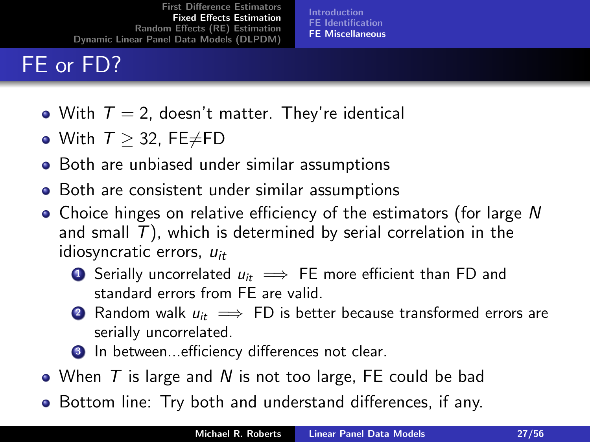## FE or FD?

[Introduction](#page-20-0) [FE Identification](#page-23-0) [FE Miscellaneous](#page-25-0)

- With  $T = 2$ , doesn't matter. They're identical
- With  $T \geq 32$ , FE $\neq$ FD
- Both are unbiased under similar assumptions
- Both are consistent under similar assumptions
- Choice hinges on relative efficiency of the estimators (for large N and small  $T$ ), which is determined by serial correlation in the idiosyncratic errors,  $u_{it}$ 
	- **■** Serially uncorrelated  $u_{it} \implies$  FE more efficient than FD and standard errors from FE are valid.
	- 2 Random walk  $u_{it} \implies FD$  is better because transformed errors are serially uncorrelated.
	- <sup>3</sup> In between...efficiency differences not clear.
- When  $T$  is large and  $N$  is not too large, FE could be bad
- Bottom line: Try both and understand differences, if any.  $\bullet$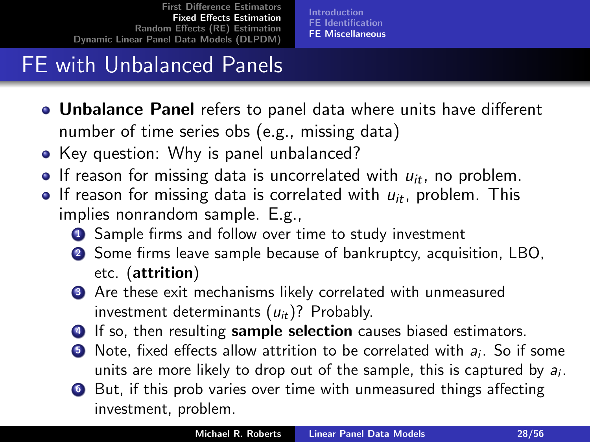[Introduction](#page-20-0) [FE Identification](#page-23-0) [FE Miscellaneous](#page-25-0)

## FE with Unbalanced Panels

- **.** Unbalance Panel refers to panel data where units have different number of time series obs (e.g., missing data)
- Key question: Why is panel unbalanced?
- **If reason for missing data is uncorrelated with**  $u_{it}$ **, no problem.**
- If reason for missing data is correlated with  $u_{it}$ , problem. This implies nonrandom sample. E.g.,
	- **1** Sample firms and follow over time to study investment
	- <sup>2</sup> Some firms leave sample because of bankruptcy, acquisition, LBO, etc. (attrition)
	- **3** Are these exit mechanisms likely correlated with unmeasured investment determinants  $(u_{it})$ ? Probably.
	- **4** If so, then resulting **sample selection** causes biased estimators.
	- $\bullet$  Note, fixed effects allow attrition to be correlated with  $a_i$ . So if some units are more likely to drop out of the sample, this is captured by  $a_i$ .
	- <sup>6</sup> But, if this prob varies over time with unmeasured things affecting investment, problem.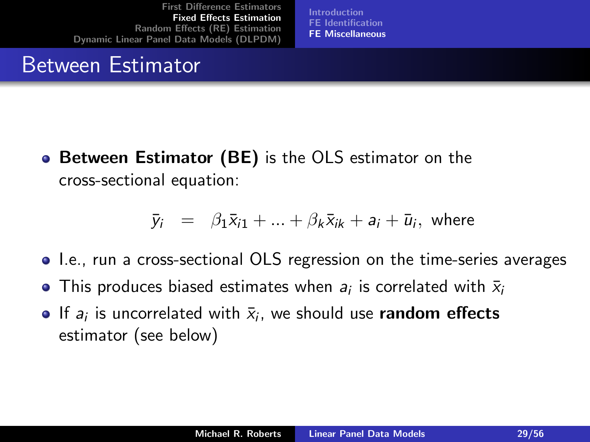[Introduction](#page-20-0) [FE Identification](#page-23-0) [FE Miscellaneous](#page-25-0)

#### Between Estimator

**• Between Estimator (BE)** is the OLS estimator on the cross-sectional equation:

$$
\bar{y}_i = \beta_1 \bar{x}_{i1} + \dots + \beta_k \bar{x}_{ik} + a_i + \bar{u}_i
$$
, where

- I.e., run a cross-sectional OLS regression on the time-series averages
- This produces biased estimates when  $a_i$  is correlated with  $\bar{x}_i$
- If  $a_i$  is uncorrelated with  $\bar{x}_i$ , we should use random effects estimator (see below)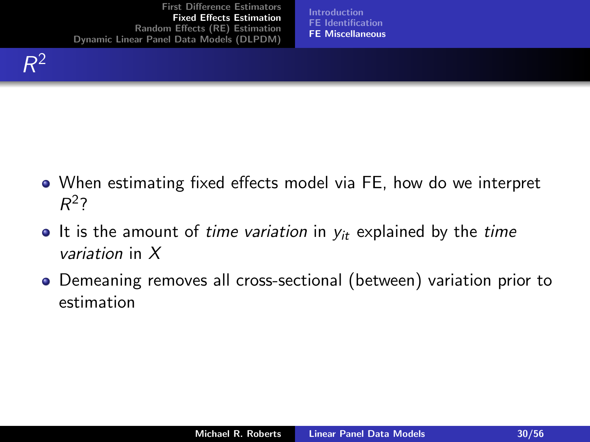[Introduction](#page-20-0) [FE Identification](#page-23-0) [FE Miscellaneous](#page-25-0)

- When estimating fixed effects model via FE, how do we interpret  $R^2$ ?
- It is the amount of time variation in  $y_{it}$  explained by the time variation in X
- Demeaning removes all cross-sectional (between) variation prior to estimation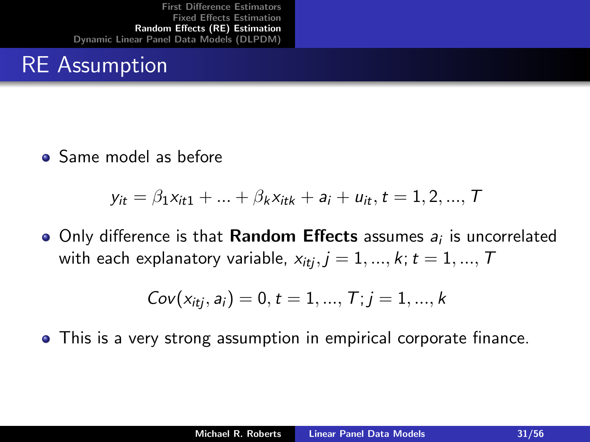#### RE Assumption

**•** Same model as before

$$
y_{it} = \beta_1 x_{it1} + \dots + \beta_k x_{itk} + a_i + u_{it}, t = 1, 2, ..., T
$$

Only difference is that  $\bm{\mathsf{Random}}$  Effects assumes  $a_i$  is uncorrelated with each explanatory variable,  $x_{itj}$ ,  $j = 1, ..., k$ ;  $t = 1, ..., T$ 

<span id="page-30-0"></span>
$$
Cov(x_{itj}, a_i) = 0, t = 1, ..., T; j = 1, ..., k
$$

This is a very strong assumption in empirical corporate finance.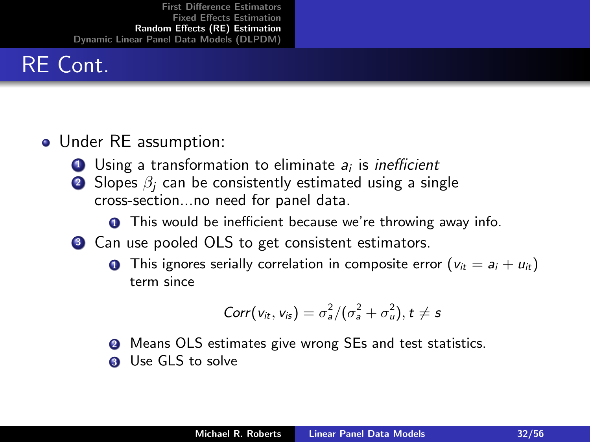# RE Cont.

#### • Under RE assumption:

- $\bf D$  Using a transformation to eliminate  $a_i$  is *inefficient*
- 2 Slopes  $\beta_i$  can be consistently estimated using a single cross-section...no need for panel data.
	- **1** This would be inefficient because we're throwing away info.
- <sup>3</sup> Can use pooled OLS to get consistent estimators.
	- **1** This ignores serially correlation in composite error  $(v_{it} = a_i + u_{it})$ term since

$$
Corr(v_{it}, v_{is}) = \sigma_a^2/(\sigma_a^2 + \sigma_u^2), t \neq s
$$

- **2** Means OLS estimates give wrong SEs and test statistics.
- **3** Use GLS to solve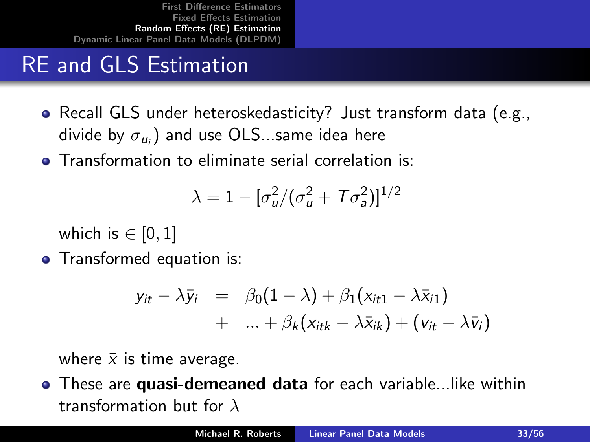## RE and GLS Estimation

- Recall GLS under heteroskedasticity? Just transform data (e.g., divide by  $\sigma_{u_i}$ ) and use OLS…same idea here
- **•** Transformation to eliminate serial correlation is:

$$
\lambda=1-[\sigma_u^2/(\sigma_u^2+T\sigma_a^2)]^{1/2}
$$

which is  $\in$  [0, 1]

• Transformed equation is:

$$
y_{it} - \lambda \bar{y}_i = \beta_0 (1 - \lambda) + \beta_1 (x_{it1} - \lambda \bar{x}_{i1})
$$
  
+ ... +  $\beta_k (x_{itk} - \lambda \bar{x}_{ik}) + (v_{it} - \lambda \bar{v}_i)$ 

where  $\bar{x}$  is time average.

**•** These are **quasi-demeaned data** for each variable...like within transformation but for  $\lambda$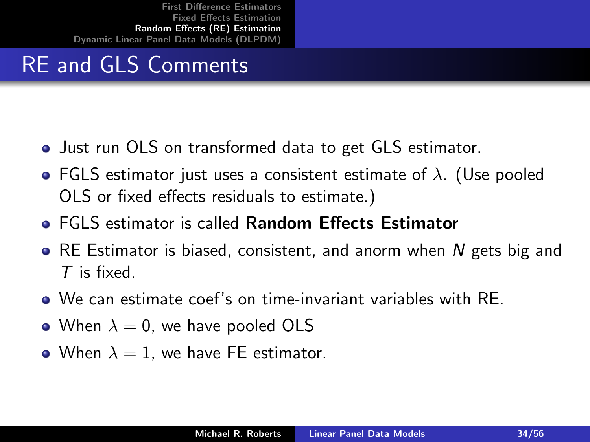## RE and GLS Comments

- Just run OLS on transformed data to get GLS estimator.
- FGLS estimator just uses a consistent estimate of  $\lambda$ . (Use pooled OLS or fixed effects residuals to estimate.)
- **EGLS estimator is called Random Effects Estimator**
- RE Estimator is biased, consistent, and anorm when N gets big and T is fixed.
- We can estimate coef's on time-invariant variables with RE.
- When  $\lambda = 0$ , we have pooled OLS
- When  $\lambda = 1$ , we have FE estimator.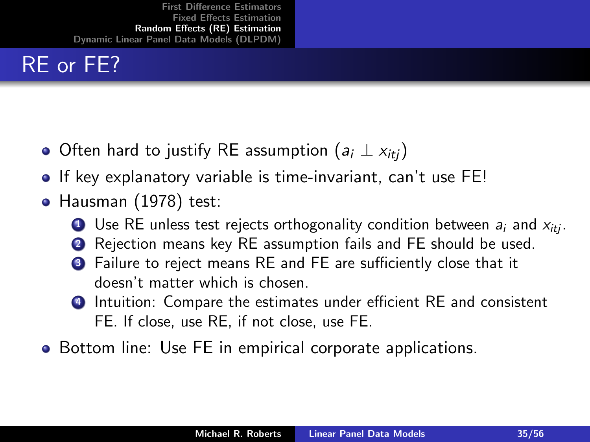## RE or FE?

- $\bullet$  Often hard to justify RE assumption ( $a_i \perp x_{iti}$ )
- **If key explanatory variable is time-invariant, can't use FE!**
- Hausman (1978) test:
	- **1** Use RE unless test rejects orthogonality condition between  $a_i$  and  $x_{i\text{t}}$ .
	- **2** Rejection means key RE assumption fails and FE should be used.
	- **3** Failure to reject means RE and FE are sufficiently close that it doesn't matter which is chosen.
	- **4** Intuition: Compare the estimates under efficient RE and consistent FE. If close, use RE, if not close, use FE.
- Bottom line: Use FE in empirical corporate applications.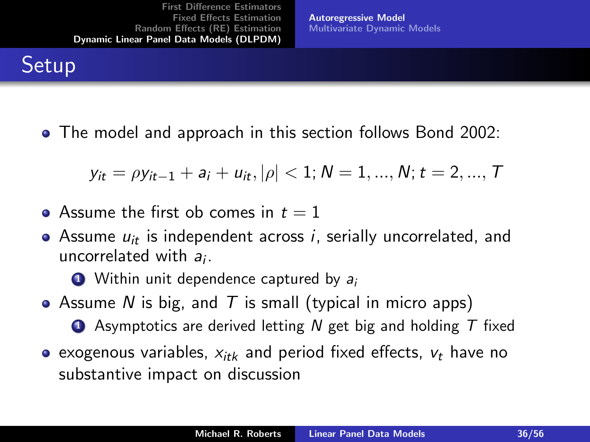<span id="page-35-0"></span>[Autoregressive Model](#page-35-0) [Multivariate Dynamic Models](#page-49-0)

#### **Setup**

• The model and approach in this section follows Bond 2002:

$$
y_{it} = \rho y_{it-1} + a_i + u_{it}, |\rho| < 1; N = 1, ..., N; t = 2, ..., T
$$

- Assume the first ob comes in  $t = 1$
- Assume  $u_{it}$  is independent across i, serially uncorrelated, and uncorrelated with  $a_i$ .

 $\bullet$  Within unit dependence captured by  $a_i$ 

- Assume N is big, and T is small (typical in micro apps)
	- $\bullet$  Asymptotics are derived letting N get big and holding T fixed
- exogenous variables,  $x_{itk}$  and period fixed effects,  $v_t$  have no substantive impact on discussion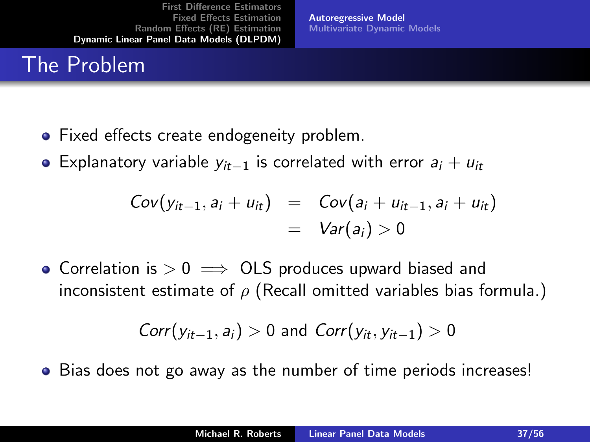## The Problem

- Fixed effects create endogeneity problem.
- Explanatory variable  $y_{it-1}$  is correlated with error  $a_i + u_{it}$

$$
Cov(y_{it-1}, a_i + u_{it}) = Cov(a_i + u_{it-1}, a_i + u_{it})
$$
  
=  $Var(a_i) > 0$ 

[Autoregressive Model](#page-35-0) [Multivariate Dynamic Models](#page-49-0)

• Correlation is  $> 0 \implies$  OLS produces upward biased and inconsistent estimate of  $\rho$  (Recall omitted variables bias formula.)

$$
Corr(y_{it-1}, a_i) > 0
$$
 and 
$$
Corr(y_{it}, y_{it-1}) > 0
$$

• Bias does not go away as the number of time periods increases!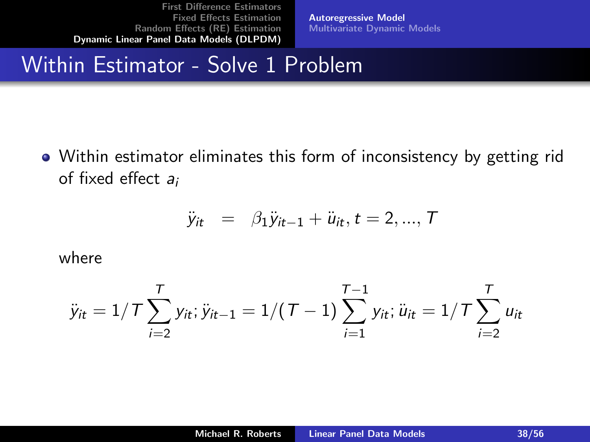[Autoregressive Model](#page-35-0) [Multivariate Dynamic Models](#page-49-0)

#### Within Estimator - Solve 1 Problem

Within estimator eliminates this form of inconsistency by getting rid of fixed effect  $a_i$ 

$$
\ddot{y}_{it} = \beta_1 \ddot{y}_{it-1} + \ddot{u}_{it}, t = 2, ..., T
$$

where

$$
\ddot{y}_{it} = 1/T \sum_{i=2}^{T} y_{it}; \ddot{y}_{it-1} = 1/(T-1) \sum_{i=1}^{T-1} y_{it}; \ddot{u}_{it} = 1/T \sum_{i=2}^{T} u_{it}
$$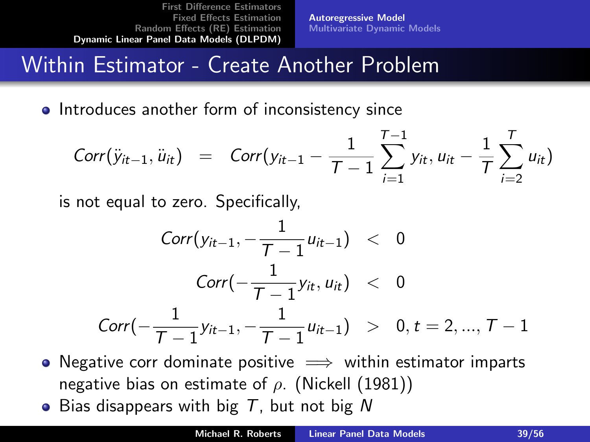[Autoregressive Model](#page-35-0) [Multivariate Dynamic Models](#page-49-0)

#### Within Estimator - Create Another Problem

**•** Introduces another form of inconsistency since

$$
Corr(\ddot{y}_{it-1}, \ddot{u}_{it}) = Corr(y_{it-1} - \frac{1}{T-1} \sum_{i=1}^{T-1} y_{it}, u_{it} - \frac{1}{T} \sum_{i=2}^{T} u_{it})
$$

is not equal to zero. Specifically,

$$
Corr(y_{it-1}, -\frac{1}{T-1}u_{it-1}) < 0
$$
  

$$
Corr(-\frac{1}{T-1}y_{it}, u_{it}) < 0
$$
  

$$
Corr(-\frac{1}{T-1}y_{it-1}, -\frac{1}{T-1}u_{it-1}) > 0, t = 2, ..., T-1
$$

- Negative corr dominate positive  $\implies$  within estimator imparts negative bias on estimate of  $\rho$ . (Nickell (1981))
- Bias disappears with big  $T$ , but not big N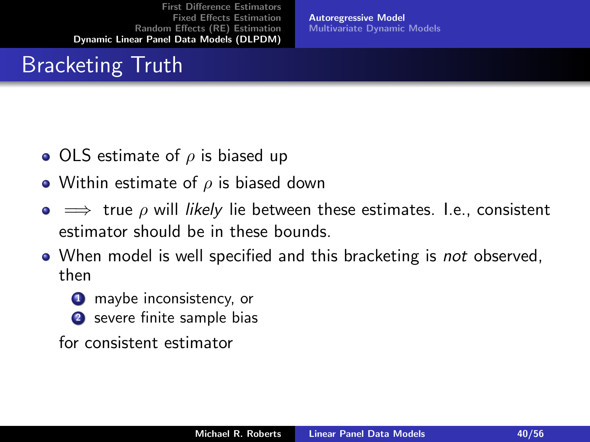## Bracketing Truth

- OLS estimate of  $\rho$  is biased up
- Within estimate of  $\rho$  is biased down
- $\bullet \implies$  true  $\rho$  will likely lie between these estimates. I.e., consistent estimator should be in these bounds.

[Autoregressive Model](#page-35-0) [Multivariate Dynamic Models](#page-49-0)

- When model is well specified and this bracketing is *not* observed, then
	- **1** maybe inconsistency, or
	- <sup>2</sup> severe finite sample bias

for consistent estimator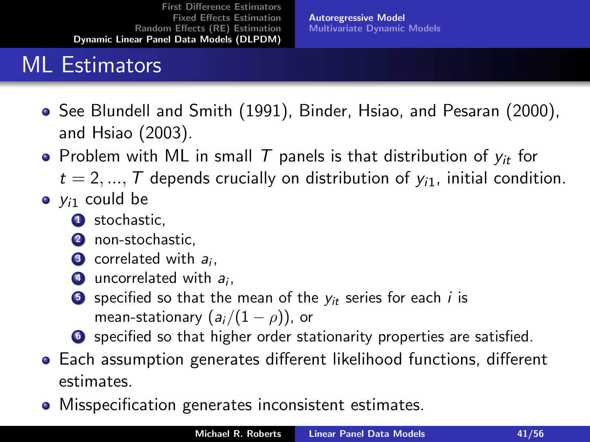[Autoregressive Model](#page-35-0) [Multivariate Dynamic Models](#page-49-0)

## ML Estimators

- See Blundell and Smith (1991), Binder, Hsiao, and Pesaran (2000), and Hsiao (2003).
- Problem with ML in small T panels is that distribution of  $y_{it}$  for
	- $t = 2, ..., T$  depends crucially on distribution of  $y_{i1}$ , initial condition.
- $\bullet$   $y_{i1}$  could be
	- <sup>1</sup> stochastic.
	- 2 non-stochastic,
	- 3 correlated with  $a_i$ ,
	- $\bullet$  uncorrelated with  $a_i$ ,
	- **5** specified so that the mean of the  $y_{it}$  series for each i is mean-stationary  $(a_i/(1-\rho))$ , or
	- **O** specified so that higher order stationarity properties are satisfied.
- Each assumption generates different likelihood functions, different estimates.
- Misspecification generates inconsistent estimates.  $\bullet$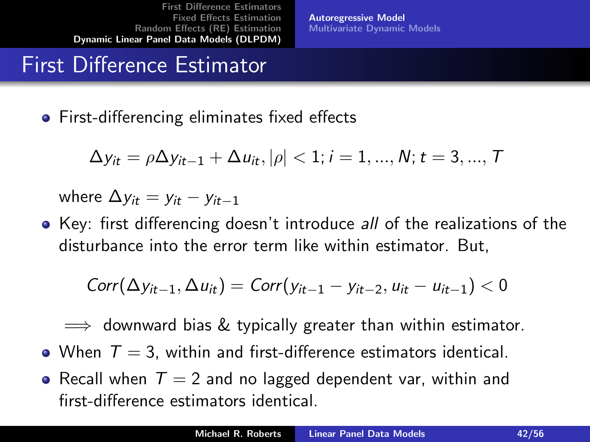[Autoregressive Model](#page-35-0) [Multivariate Dynamic Models](#page-49-0)

## First Difference Estimator

**•** First-differencing eliminates fixed effects

$$
\Delta y_{it} = \rho \Delta y_{it-1} + \Delta u_{it}, |\rho| < 1; i = 1, ..., N; t = 3, ..., T
$$

where  $\Delta y_{it} = y_{it} - y_{it-1}$ 

• Key: first differencing doesn't introduce all of the realizations of the disturbance into the error term like within estimator. But,

$$
Corr(\Delta y_{it-1}, \Delta u_{it}) = Corr(y_{it-1} - y_{it-2}, u_{it} - u_{it-1}) < 0
$$

 $\implies$  downward bias & typically greater than within estimator.

- When  $T = 3$ , within and first-difference estimators identical.
- Recall when  $T = 2$  and no lagged dependent var, within and first-difference estimators identical.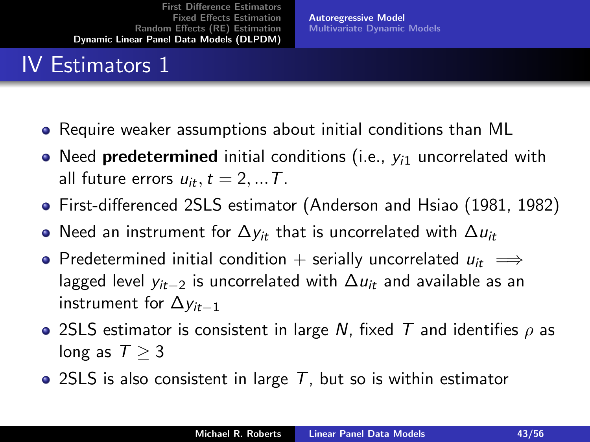#### IV Estimators 1

- Require weaker assumptions about initial conditions than ML
- Need predetermined initial conditions (i.e.,  $y_{i1}$  uncorrelated with all future errors  $u_{it}$ ,  $t = 2, ... T$ .

[Autoregressive Model](#page-35-0) [Multivariate Dynamic Models](#page-49-0)

- First-differenced 2SLS estimator (Anderson and Hsiao (1981, 1982)
- Need an instrument for  $\Delta y_{it}$  that is uncorrelated with  $\Delta u_{it}$
- Predetermined initial condition + serially uncorrelated  $u_{it} \implies$ lagged level  $y_{it-2}$  is uncorrelated with  $\Delta u_{it}$  and available as an instrument for  $\Delta v_{it-1}$
- 2SLS estimator is consistent in large N, fixed T and identifies  $\rho$  as long as  $T \geq 3$
- 2SLS is also consistent in large  $T$ , but so is within estimator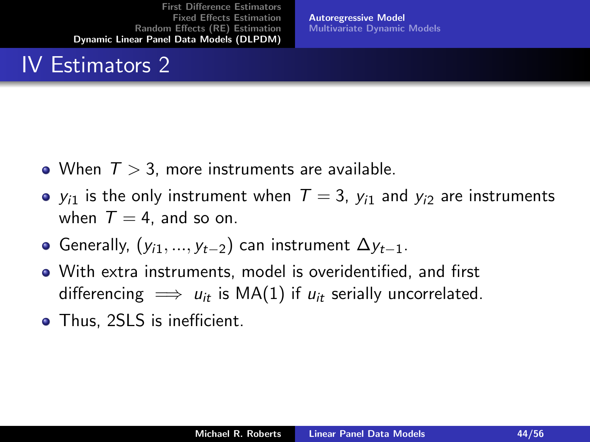#### IV Estimators 2

[Autoregressive Model](#page-35-0) [Multivariate Dynamic Models](#page-49-0)

- When  $T > 3$ , more instruments are available.
- $y_{i1}$  is the only instrument when  $T = 3$ ,  $y_{i1}$  and  $y_{i2}$  are instruments when  $T = 4$ , and so on.
- Generally,  $(y_{i1},...,y_{t-2})$  can instrument  $\Delta y_{t-1}$ .
- With extra instruments, model is overidentified, and first differencing  $\implies u_{it}$  is MA(1) if  $u_{it}$  serially uncorrelated.
- Thus, 2SLS is inefficient.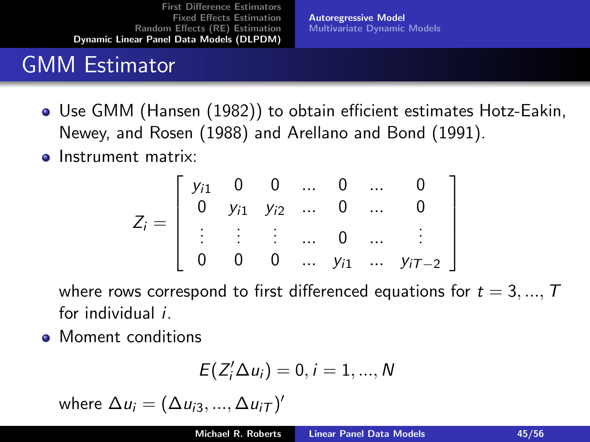[Autoregressive Model](#page-35-0) [Multivariate Dynamic Models](#page-49-0)

## GMM Estimator

- Use GMM (Hansen (1982)) to obtain efficient estimates Hotz-Eakin, Newey, and Rosen (1988) and Arellano and Bond (1991).
- **o** Instrument matrix:

$$
Z_i = \left[ \begin{array}{cccccc} y_{i1} & 0 & 0 & \dots & 0 & \dots & 0 \\ 0 & y_{i1} & y_{i2} & \dots & 0 & \dots & 0 \\ \vdots & \vdots & \vdots & \dots & 0 & \dots & \vdots \\ 0 & 0 & 0 & \dots & y_{i1} & \dots & y_{iT-2} \end{array} \right]
$$

where rows correspond to first differenced equations for  $t = 3, ..., T$ for individual i.

• Moment conditions

$$
E(Z_i'\Delta u_i)=0, i=1,...,N
$$

where  $\Delta u_i = (\Delta u_{i3}, ..., \Delta u_{iT})'$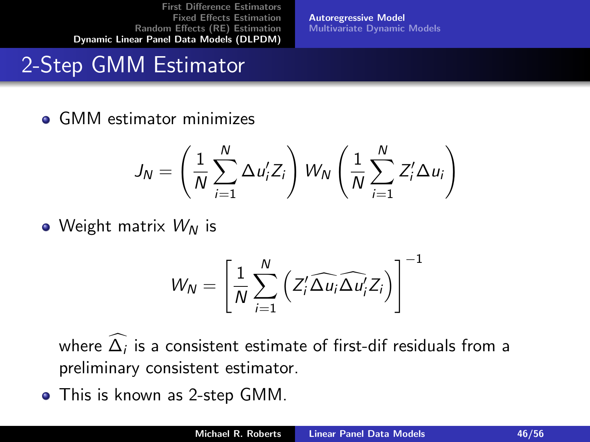[Autoregressive Model](#page-35-0) [Multivariate Dynamic Models](#page-49-0)

## 2-Step GMM Estimator

**• GMM estimator minimizes** 

$$
J_N = \left(\frac{1}{N}\sum_{i=1}^N \Delta u'_i Z_i\right) W_N \left(\frac{1}{N}\sum_{i=1}^N Z'_i \Delta u_i\right)
$$

• Weight matrix  $W_N$  is

$$
W_N = \left[\frac{1}{N}\sum_{i=1}^N \left(Z_i'\widehat{\Delta u_i}\widehat{\Delta u_i'}Z_i\right)\right]^{-1}
$$

where  $\Delta_i$  is a consistent estimate of first-dif residuals from a preliminary consistent estimator.

This is known as 2-step GMM.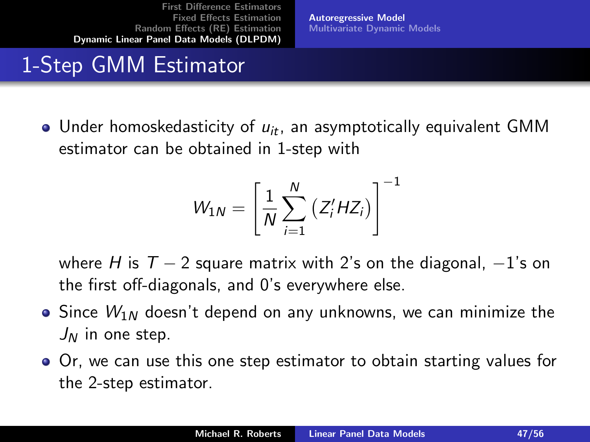[Autoregressive Model](#page-35-0) [Multivariate Dynamic Models](#page-49-0)

## 1-Step GMM Estimator

• Under homoskedasticity of  $u_{it}$ , an asymptotically equivalent GMM estimator can be obtained in 1-step with

$$
W_{1N} = \left[\frac{1}{N}\sum_{i=1}^{N}\left(Z_{i}^{\prime}HZ_{i}\right)\right]^{-1}
$$

where H is  $T - 2$  square matrix with 2's on the diagonal,  $-1$ 's on the first off-diagonals, and 0's everywhere else.

- Since  $W_{1N}$  doesn't depend on any unknowns, we can minimize the  $J_N$  in one step.
- Or, we can use this one step estimator to obtain starting values for the 2-step estimator.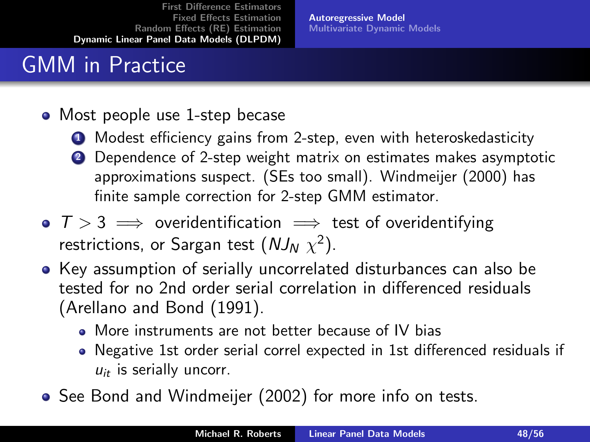[Autoregressive Model](#page-35-0) [Multivariate Dynamic Models](#page-49-0)

## GMM in Practice

#### • Most people use 1-step becase

- **4** Modest efficiency gains from 2-step, even with heteroskedasticity
- 2 Dependence of 2-step weight matrix on estimates makes asymptotic approximations suspect. (SEs too small). Windmeijer (2000) has finite sample correction for 2-step GMM estimator.
- $T > 3 \implies$  overidentification  $\implies$  test of overidentifying restrictions, or Sargan test  $(NJ_N|\chi^2).$
- Key assumption of serially uncorrelated disturbances can also be tested for no 2nd order serial correlation in differenced residuals (Arellano and Bond (1991).
	- More instruments are not better because of IV bias
	- Negative 1st order serial correl expected in 1st differenced residuals if  $u_{it}$  is serially uncorr.
- See Bond and Windmeijer (2002) for more info on tests.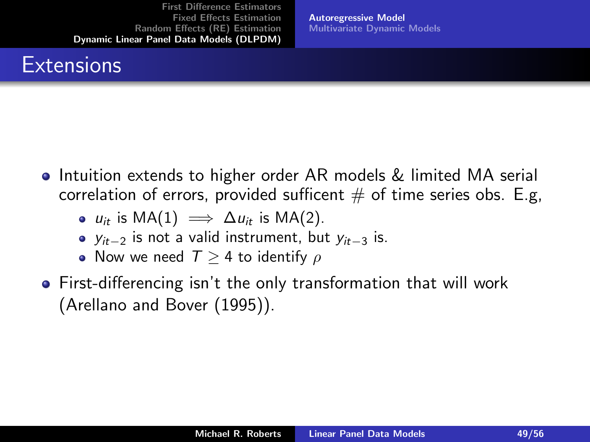#### **Extensions**

[Autoregressive Model](#page-35-0) [Multivariate Dynamic Models](#page-49-0)

- **•** Intuition extends to higher order AR models & limited MA serial correlation of errors, provided sufficent  $#$  of time series obs. E.g,
	- $u_{it}$  is MA(1)  $\implies \Delta u_{it}$  is MA(2).
	- $y_{it-2}$  is not a valid instrument, but  $y_{it-3}$  is.
	- Now we need  $T > 4$  to identify  $\rho$
- First-differencing isn't the only transformation that will work (Arellano and Bover (1995)).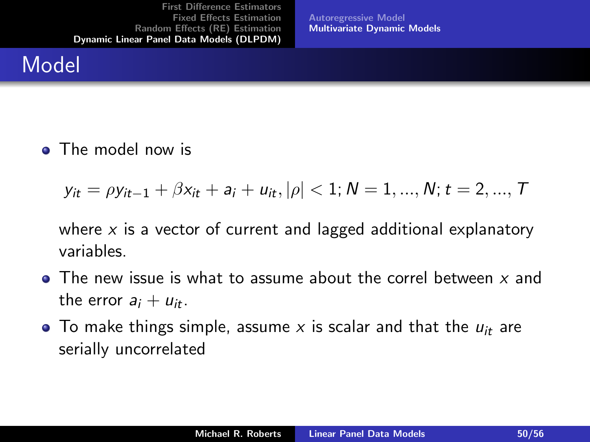<span id="page-49-0"></span>[Autoregressive Model](#page-35-0) [Multivariate Dynamic Models](#page-49-0)

#### Model

• The model now is

$$
y_{it} = \rho y_{it-1} + \beta x_{it} + a_i + u_{it}, |\rho| < 1; N = 1, ..., N; t = 2, ..., T
$$

where  $x$  is a vector of current and lagged additional explanatory variables.

- $\bullet$  The new issue is what to assume about the correl between x and the error  $a_i + u_{it}$ .
- To make things simple, assume x is scalar and that the  $u_{it}$  are serially uncorrelated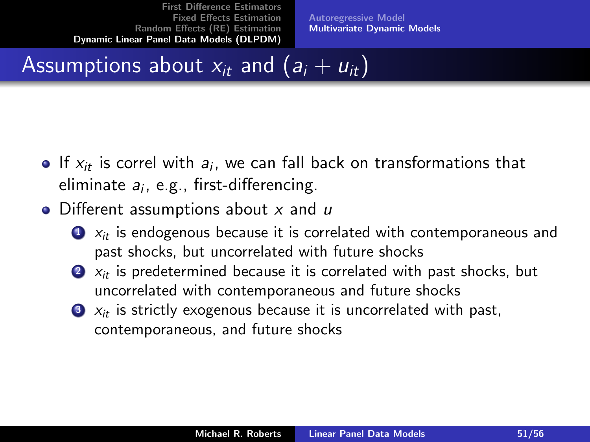[Autoregressive Model](#page-35-0) [Multivariate Dynamic Models](#page-49-0)

## Assumptions about  $x_{it}$  and  $(a_i + u_{it})$

- If  $x_{it}$  is correl with  $a_i$ , we can fall back on transformations that eliminate *a<sub>i</sub>*, e.g., first-differencing.
- $\bullet$  Different assumptions about x and  $\mu$ 
	- $\bullet$   $x_{it}$  is endogenous because it is correlated with contemporaneous and past shocks, but uncorrelated with future shocks
	- $2x_{it}$  is predetermined because it is correlated with past shocks, but uncorrelated with contemporaneous and future shocks
	- $\bullet$   $x_{it}$  is strictly exogenous because it is uncorrelated with past, contemporaneous, and future shocks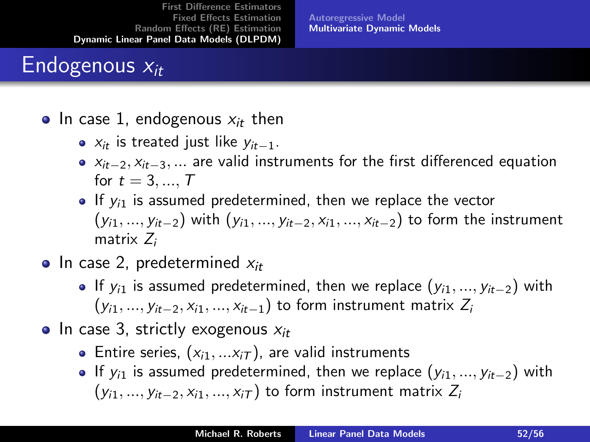[Autoregressive Model](#page-35-0) [Multivariate Dynamic Models](#page-49-0)

## Endogenous  $x_{it}$

- In case 1, endogenous  $x_{it}$  then
	- $x_{it}$  is treated just like  $y_{it-1}$ .
	- $x_{it-2}, x_{it-3}, \ldots$  are valid instruments for the first differenced equation for  $t = 3, ..., T$
	- $\bullet$  If  $y_{i1}$  is assumed predetermined, then we replace the vector  $(y_{i1}, ..., y_{it-2})$  with  $(y_{i1}, ..., y_{it-2}, x_{i1}, ..., x_{it-2})$  to form the instrument matrix Z:
- In case 2, predetermined  $x_{it}$ 
	- $\bullet$  If  $y_{i1}$  is assumed predetermined, then we replace  $(y_{i1}, ..., y_{it-2})$  with  $(y_{i1}, ..., y_{it-2}, x_{i1}, ..., x_{it-1})$  to form instrument matrix  $Z_i$
- In case 3, strictly exogenous  $x_{it}$ 
	- Entire series,  $(x_{i1},...x_{iT})$ , are valid instruments
	- $\bullet$  If  $y_{i1}$  is assumed predetermined, then we replace  $(y_{i1}, ..., y_{it-2})$  with  $(y_{i1},..., y_{it-2}, x_{i1},..., x_{iT})$  to form instrument matrix  $Z_i$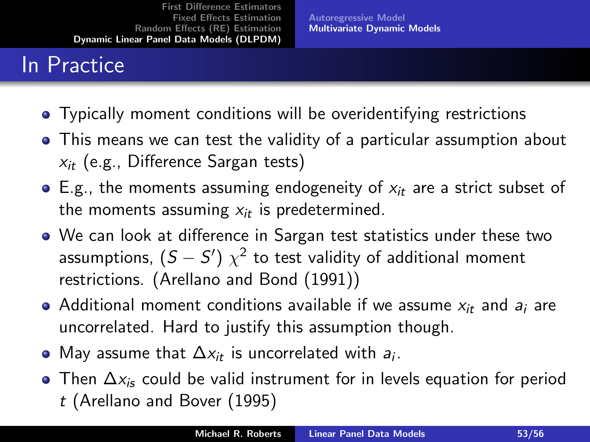[Autoregressive Model](#page-35-0) [Multivariate Dynamic Models](#page-49-0)

## In Practice

- Typically moment conditions will be overidentifying restrictions
- This means we can test the validity of a particular assumption about  $x_{it}$  (e.g., Difference Sargan tests)
- $\bullet$  E.g., the moments assuming endogeneity of  $x_{it}$  are a strict subset of the moments assuming  $x_{it}$  is predetermined.
- We can look at difference in Sargan test statistics under these two assumptions,  $\left( S - S^{\prime} \right) \, \chi^2$  to test validity of additional moment restrictions. (Arellano and Bond (1991))
- Additional moment conditions available if we assume  $x_{it}$  and  $a_i$  are uncorrelated. Hard to justify this assumption though.
- May assume that  $\Delta x_{it}$  is uncorrelated with  $a_i$ .
- Then  $\Delta x_i$  could be valid instrument for in levels equation for period t (Arellano and Bover (1995)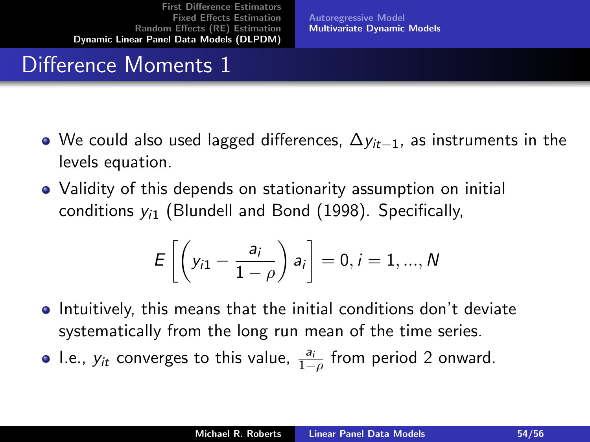[Autoregressive Model](#page-35-0) [Multivariate Dynamic Models](#page-49-0)

## Difference Moments 1

- We could also used lagged differences,  $\Delta y_{it-1}$ , as instruments in the levels equation.
- Validity of this depends on stationarity assumption on initial conditions  $y_{i1}$  (Blundell and Bond (1998). Specifically,

$$
E\left[\left(y_{i1}-\frac{a_i}{1-\rho}\right)a_i\right]=0, i=1,...,N
$$

- **•** Intuitively, this means that the initial conditions don't deviate systematically from the long run mean of the time series.
- I.e.,  $y_{it}$  converges to this value,  $\frac{a_i}{1-\rho}$  from period 2 onward.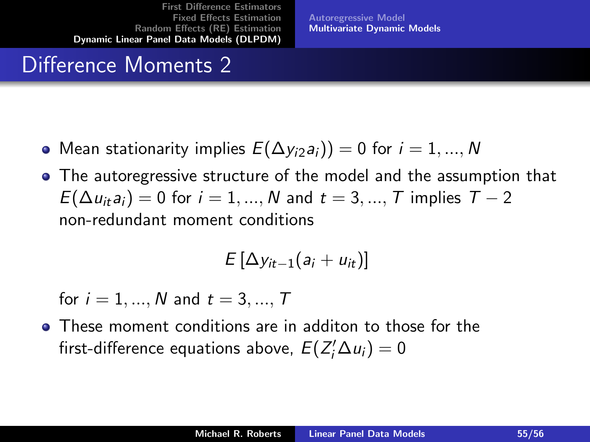[Autoregressive Model](#page-35-0) [Multivariate Dynamic Models](#page-49-0)

#### Difference Moments 2

- Mean stationarity implies  $E(\Delta y_{i2}a_i)=0$  for  $i=1,...,N$
- The autoregressive structure of the model and the assumption that  $E(\Delta u_{it}a_i) = 0$  for  $i = 1, ..., N$  and  $t = 3, ..., T$  implies  $T - 2$ non-redundant moment conditions

$$
E\left[\Delta y_{it-1}(a_i+u_{it})\right]
$$

for  $i = 1, ..., N$  and  $t = 3, ..., T$ 

These moment conditions are in additon to those for the first-difference equations above,  $E(Z_i^{\prime} \Delta u_i)=0$